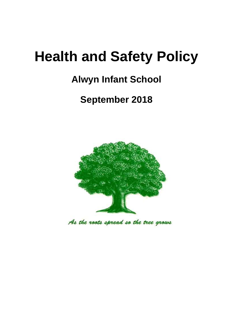# **Health and Safety Policy**

## **Alwyn Infant School**

## **September 2018**



As the roots spread so the tree grows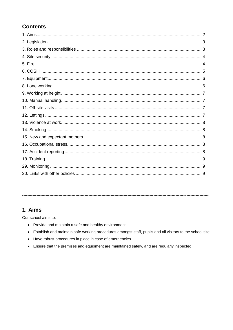## **Contents**

## 1. Aims

Our school aims to:

- Provide and maintain a safe and healthy environment
- Establish and maintain safe working procedures amongst staff, pupils and all visitors to the school site
- Have robust procedures in place in case of emergencies
- Ensure that the premises and equipment are maintained safely, and are regularly inspected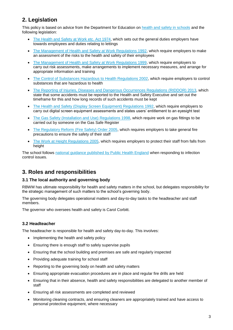## **2. Legislation**

This policy is based on advice from the Department for Education on [health and safety in schools](https://www.gov.uk/government/publications/health-and-safety-advice-for-schools) and the following legislation:

- [The Health and Safety at Work etc. Act 1974,](http://www.legislation.gov.uk/ukpga/1974/37) which sets out the general duties employers have towards employees and duties relating to lettings
- [The Management of Health and Safety at Work Regulations 1992,](http://www.legislation.gov.uk/uksi/1992/2051/regulation/3/made) which require employers to make an assessment of the risks to the health and safety of their employees
- [The Management of Health and Safety at Work Regulations 1999,](http://www.legislation.gov.uk/uksi/1999/3242/contents/made) which require employers to carry out risk assessments, make arrangements to implement necessary measures, and arrange for appropriate information and training
- [The Control of Substances Hazardous to Health Regulations 2002,](http://www.legislation.gov.uk/uksi/2002/2677/contents/made) which require employers to control substances that are hazardous to health
- [The Reporting of Injuries, Diseases and Dangerous Occurrences Regulations](http://www.legislation.gov.uk/uksi/2013/1471/schedule/1/paragraph/1/made) (RIDDOR) 2013, which state that some accidents must be reported to the Health and Safety Executive and set out the timeframe for this and how long records of such accidents must be kept
- [The Health and Safety \(Display Screen Equipment\) Regulations 1992,](http://www.legislation.gov.uk/uksi/1992/2792/contents/made) which require employers to carry out digital screen equipment assessments and states users' entitlement to an eyesight test
- [The Gas Safety \(Installation and Use\) Regulations](http://www.legislation.gov.uk/uksi/1998/2451/regulation/4/made) 1998, which require work on gas fittings to be carried out by someone on the Gas Safe Register
- [The Regulatory Reform \(Fire Safety\) Order 2005,](http://www.legislation.gov.uk/uksi/2005/1541/part/2/made) which requires employers to take general fire precautions to ensure the safety of their staff
- [The Work at Height Regulations 2005,](http://www.legislation.gov.uk/uksi/2005/735/contents/made) which requires employers to protect their staff from falls from height

The school follows [national guidance published by Public Health England](https://www.gov.uk/government/uploads/system/uploads/attachment_data/file/522337/Guidance_on_infection_control_in_schools.pdf) when responding to infection control issues.

## **3. Roles and responsibilities**

#### **3.1 The local authority and governing body**

RBWM has ultimate responsibility for health and safety matters in the school, but delegates responsibility for the strategic management of such matters to the school's governing body.

The governing body delegates operational matters and day-to-day tasks to the headteacher and staff members.

The governor who oversees health and safety is Carol Corbitt.

#### **3.2 Headteacher**

The headteacher is responsible for health and safety day-to-day. This involves:

- Implementing the health and safety policy
- Ensuring there is enough staff to safely supervise pupils
- Ensuring that the school building and premises are safe and regularly inspected
- Providing adequate training for school staff
- Reporting to the governing body on health and safety matters
- Ensuring appropriate evacuation procedures are in place and regular fire drills are held
- Ensuring that in their absence, health and safety responsibilities are delegated to another member of staff
- Ensuring all risk assessments are completed and reviewed
- Monitoring cleaning contracts, and ensuring cleaners are appropriately trained and have access to personal protective equipment, where necessary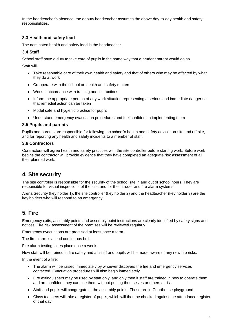In the headteacher's absence, the deputy headteacher assumes the above day-to-day health and safety responsibilities.

#### **3.3 Health and safety lead**

The nominated health and safety lead is the headteacher.

#### **3.4 Staff**

School staff have a duty to take care of pupils in the same way that a prudent parent would do so.

Staff will:

- Take reasonable care of their own health and safety and that of others who may be affected by what they do at work
- Co-operate with the school on health and safety matters
- Work in accordance with training and instructions
- Inform the appropriate person of any work situation representing a serious and immediate danger so that remedial action can be taken
- Model safe and hygienic practice for pupils
- Understand emergency evacuation procedures and feel confident in implementing them

#### **3.5 Pupils and parents**

Pupils and parents are responsible for following the school's health and safety advice, on-site and off-site, and for reporting any health and safety incidents to a member of staff.

#### **3.6 Contractors**

Contractors will agree health and safety practices with the site controller before starting work. Before work begins the contractor will provide evidence that they have completed an adequate risk assessment of all their planned work.

### **4. Site security**

The site controller is responsible for the security of the school site in and out of school hours. They are responsible for visual inspections of the site, and for the intruder and fire alarm systems.

Arena Security (key holder 1), the site controller (key holder 2) and the headteacher (key holder 3) are the key holders who will respond to an emergency.

## **5. Fire**

Emergency exits, assembly points and assembly point instructions are clearly identified by safety signs and notices. Fire risk assessment of the premises will be reviewed regularly.

Emergency evacuations are practised at least once a term.

The fire alarm is a loud continuous bell.

Fire alarm testing takes place once a week.

New staff will be trained in fire safety and all staff and pupils will be made aware of any new fire risks.

In the event of a fire:

- The alarm will be raised immediately by whoever discovers the fire and emergency services contacted. Evacuation procedures will also begin immediately
- Fire extinguishers may be used by staff only, and only then if staff are trained in how to operate them and are confident they can use them without putting themselves or others at risk
- Staff and pupils will congregate at the assembly points. These are in Courthouse playground.
- Class teachers will take a register of pupils, which will then be checked against the attendance register of that day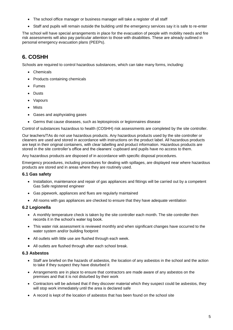- The school office manager or business manager will take a register of all staff
- Staff and pupils will remain outside the building until the emergency services say it is safe to re-enter

The school will have special arrangements in place for the evacuation of people with mobility needs and fire risk assessments will also pay particular attention to those with disabilities. These are already outlined in personal emergency evacuation plans (PEEPs).

## **6. COSHH**

Schools are required to control hazardous substances, which can take many forms, including:

- Chemicals
- Products containing chemicals
- Fumes
- Dusts
- Vapours
- Mists
- Gases and asphyxiating gases
- Germs that cause diseases, such as leptospirosis or legionnaires disease

Control of substances hazardous to health (COSHH) risk assessments are completed by the site controller.

Our teachers/TAs do not use hazardous products. Any hazardous products used by the site controller or cleaners are used and stored in accordance with instructions on the product label. All hazardous products are kept in their original containers, with clear labelling and product information. Hazardous products are stored in the site controller's office and the cleaners' cupboard and pupils have no access to them.

Any hazardous products are disposed of in accordance with specific disposal procedures.

Emergency procedures, including procedures for dealing with spillages, are displayed near where hazardous products are stored and in areas where they are routinely used.

#### **6.1 Gas safety**

- Installation, maintenance and repair of gas appliances and fittings will be carried out by a competent Gas Safe registered engineer
- Gas pipework, appliances and flues are regularly maintained
- All rooms with gas appliances are checked to ensure that they have adequate ventilation

#### **6.2 Legionella**

- A monthly temperature check is taken by the site controller each month. The site controller then records it in the school's water log book.
- This water risk assessment is reviewed monthly and when significant changes have occurred to the water system and/or building footprint
- All outlets with little use are flushed through each week.
- All outlets are flushed through after each school break.

#### **6.3 Asbestos**

- Staff are briefed on the hazards of asbestos, the location of any asbestos in the school and the action to take if they suspect they have disturbed it
- Arrangements are in place to ensure that contractors are made aware of any asbestos on the premises and that it is not disturbed by their work
- Contractors will be advised that if they discover material which they suspect could be asbestos, they will stop work immediately until the area is declared safe
- A record is kept of the location of asbestos that has been found on the school site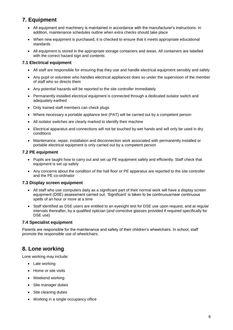## **7. Equipment**

- All equipment and machinery is maintained in accordance with the manufacturer's instructions. In addition, maintenance schedules outline when extra checks should take place
- When new equipment is purchased, it is checked to ensure that it meets appropriate educational standards
- All equipment is stored in the appropriate storage containers and areas. All containers are labelled with the correct hazard sign and contents

#### **7.1 Electrical equipment**

- All staff are responsible for ensuring that they use and handle electrical equipment sensibly and safely
- Any pupil or volunteer who handles electrical appliances does so under the supervision of the member of staff who so directs them
- Any potential hazards will be reported to the site controller immediately
- Permanently installed electrical equipment is connected through a dedicated isolator switch and adequately earthed
- Only trained staff members can check plugs
- Where necessary a portable appliance test (PAT) will be carried out by a competent person
- All isolator switches are clearly marked to identify their machine
- Electrical apparatus and connections will not be touched by wet hands and will only be used in dry conditions
- Maintenance, repair, installation and disconnection work associated with permanently installed or portable electrical equipment is only carried out by a competent person

#### **7.2 PE equipment**

- Pupils are taught how to carry out and set up PE equipment safely and efficiently. Staff check that equipment is set up safely
- Any concerns about the condition of the hall floor or PE apparatus are reported to the site controller and the PE co-ordinator

#### **7.3 Display screen equipment**

- All staff who use computers daily as a significant part of their normal work will have a display screen equipment (DSE) assessment carried out. 'Significant' is taken to be continuous/near continuous spells of an hour or more at a time
- Staff identified as DSE users are entitled to an eyesight test for DSE use upon request, and at regular intervals thereafter, by a qualified optician (and corrective glasses provided if required specifically for DSE use)

#### **7.4 Specialist equipment**

Parents are responsible for the maintenance and safety of their children's wheelchairs. In school, staff promote the responsible use of wheelchairs.

## **8. Lone working**

Lone working may include:

- Late working
- Home or site visits
- Weekend working
- Site manager duties
- Site cleaning duties
- Working in a single occupancy office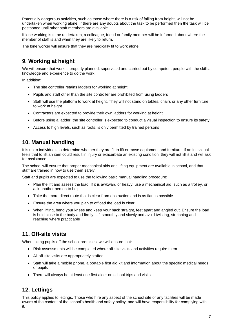Potentially dangerous activities, such as those where there is a risk of falling from height, will not be undertaken when working alone. If there are any doubts about the task to be performed then the task will be postponed until other staff members are available.

If lone working is to be undertaken, a colleague, friend or family member will be informed about where the member of staff is and when they are likely to return.

The lone worker will ensure that they are medically fit to work alone.

## **9. Working at height**

We will ensure that work is properly planned, supervised and carried out by competent people with the skills, knowledge and experience to do the work.

In addition:

- The site controller retains ladders for working at height
- Pupils and staff other than the site controller are prohibited from using ladders
- Staff will use the platform to work at height. They will not stand on tables, chairs or any other furniture to work at height
- Contractors are expected to provide their own ladders for working at height
- Before using a ladder, the site controller is expected to conduct a visual inspection to ensure its safety
- Access to high levels, such as roofs, is only permitted by trained persons

## **10. Manual handling**

It is up to individuals to determine whether they are fit to lift or move equipment and furniture. If an individual feels that to lift an item could result in injury or exacerbate an existing condition, they will not lift it and will ask for assistance.

The school will ensure that proper mechanical aids and lifting equipment are available in school, and that staff are trained in how to use them safely.

Staff and pupils are expected to use the following basic manual handling procedure:

- Plan the lift and assess the load. If it is awkward or heavy, use a mechanical aid, such as a trolley, or ask another person to help
- Take the more direct route that is clear from obstruction and is as flat as possible
- Ensure the area where you plan to offload the load is clear
- When lifting, bend your knees and keep your back straight, feet apart and angled out. Ensure the load is held close to the body and firmly. Lift smoothly and slowly and avoid twisting, stretching and reaching where practicable

## **11. Off-site visits**

When taking pupils off the school premises, we will ensure that:

- Risk assessments will be completed where off-site visits and activities require them
- All off-site visits are appropriately staffed
- Staff will take a mobile phone, a portable first aid kit and information about the specific medical needs of pupils
- There will always be at least one first aider on school trips and visits

## **12. Lettings**

This policy applies to lettings. Those who hire any aspect of the school site or any facilities will be made aware of the content of the school's health and safety policy, and will have responsibility for complying with it.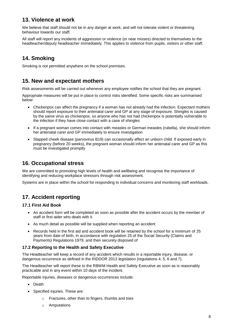## **13. Violence at work**

We believe that staff should not be in any danger at work, and will not tolerate violent or threatening behaviour towards our staff.

All staff will report any incidents of aggression or violence (or near misses) directed to themselves to the headteacher/deputy headteacher immediately. This applies to violence from pupils, visitors or other staff.

## **14. Smoking**

Smoking is not permitted anywhere on the school premises.

## **15. New and expectant mothers**

Risk assessments will be carried out whenever any employee notifies the school that they are pregnant.

Appropriate measures will be put in place to control risks identified. Some specific risks are summarised below:

- Chickenpox can affect the pregnancy if a woman has not already had the infection. Expectant mothers should report exposure to their antenatal carer and GP at any stage of exposure. Shingles is caused by the same virus as chickenpox, so anyone who has not had chickenpox is potentially vulnerable to the infection if they have close contact with a case of shingles
- If a pregnant woman comes into contact with measles or German measles (rubella), she should inform her antenatal carer and GP immediately to ensure investigation
- Slapped cheek disease (parvovirus B19) can occasionally affect an unborn child. If exposed early in pregnancy (before 20 weeks), the pregnant woman should inform her antenatal carer and GP as this must be investigated promptly

## **16. Occupational stress**

We are committed to promoting high levels of health and wellbeing and recognise the importance of identifying and reducing workplace stressors through risk assessment.

Systems are in place within the school for responding to individual concerns and monitoring staff workloads.

## **17. Accident reporting**

#### **17.1 First Aid Book**

- An accident form will be completed as soon as possible after the accident occurs by the member of staff or first aider who deals with it
- As much detail as possible will be supplied when reporting an accident
- Records held in the first aid and accident book will be retained by the school for a minimum of 25 years from date of birth, in accordance with regulation 25 of the Social Security (Claims and Payments) Regulations 1979, and then securely disposed of

#### **17.2 Reporting to the Health and Safety Executive**

The Headteacher will keep a record of any accident which results in a reportable injury, disease, or dangerous occurrence as defined in the RIDDOR 2013 legislation (regulations 4, 5, 6 and 7).

The Headteacher will report these to the RBWM Health and Safety Executive as soon as is reasonably practicable and in any event within 10 days of the incident.

Reportable injuries, diseases or dangerous occurrences include:

- Death
- Specified injuries. These are:
	- o Fractures, other than to fingers, thumbs and toes
	- o Amputations